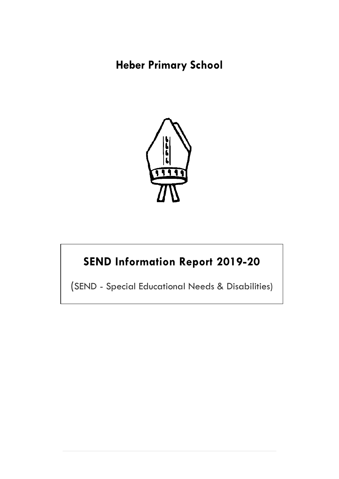## **Heber Primary School**



# **SEND Information Report 2019-20**

(SEND - Special Educational Needs & Disabilities)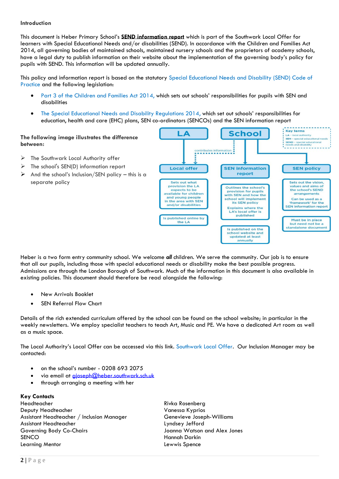#### **Introduction**

This document is Heber Primary School's **SEND information report** which is part of the Southwark Local Offer for learners with Special Educational Needs and/or disabilities (SEND). In accordance with the Children and Families Act 2014, all governing bodies of maintained schools, maintained nursery schools and the proprietors of academy schools, have a legal duty to publish information on their website about the implementation of the governing body's policy for pupils with SEND. This information will be updated annually.

This policy and information report is based on the statutory [Special Educational Needs and Disability \(SEND\) Code of](https://www.gov.uk/government/uploads/system/uploads/attachment_data/file/398815/SEND_Code_of_Practice_January_2015.pdf)  [Practice](https://www.gov.uk/government/uploads/system/uploads/attachment_data/file/398815/SEND_Code_of_Practice_January_2015.pdf) and the following legislation:

- [Part 3 of the Children and Families Act 2014,](http://www.legislation.gov.uk/ukpga/2014/6/part/3) which sets out schools' responsibilities for pupils with SEN and disabilities
- [The Special Educational Needs and Disability Regulations 2014,](http://www.legislation.gov.uk/uksi/2014/1530/contents/made) which set out schools' responsibilities for education, health and care (EHC) plans, SEN co-ordinators (SENCOs) and the SEN information report

LA

Local offer

Sets out what

provision the LA

expects to be

available for children

and young people<br>n the area with SEN

and/or disabilities

Is published online by

the LA

**Key terms** 

 $LA - local$  auth  $CEM$ 

**Selat od SEND** – special education<br>needs and disability ---------

**SEN policy** 

Sets out the vision,

values and aims of

the school's SEND

arrangements

Can be used as a

"tramework" for the<br>"framework" for the<br>SEN information report

Must be in place

but need not be a standalone document

**School** 

**SEN information** 

report

**Outlines the school's** 

provision for pupils<br>with SEN and how the

school will implement

its SEN policy

**Explains where the** LA's local offer is published

Is published on the chool website an<br>updated at least annually

#### **The following image illustrates the difference between:**

- ➢ The Southwark Local Authority offer
- $\triangleright$  The school's SEN(D) information report
- $\triangleright$  And the school's Inclusion/SEN policy this is a separate policy



- New Arrivals Booklet
- **SEN Referral Flow Chart**

Details of the rich extended curriculum offered by the school can be found on the school website; in particular in the weekly newsletters. We employ specialist teachers to teach Art, Music and PE. We have a dedicated Art room as well as a music space.

The Local Authority's Local Offer can be accessed via this link. [Southwark Local Offer.](http://www.localoffer.southwark.gov.uk/) Our Inclusion Manager may be contacted:

- on the school's number 0208 693 2075
- via email at [gjoseph@heber.southwark.sch.uk](mailto:gjoseph@heber.southwark.sch.uk)
- through arranging a meeting with her

#### **Key Contacts**

Headteacher Rivka Rosenberg Deputy Headteacher Vanessa Kyprios Assistant Headteacher / Inclusion Manager Genevieve Joseph-Williams Assistant Headteacher Lyndsey Jefford Governing Body Co-Chairs Joanna Watson and Alex Jones SENCO Hannah Darkin Learning Mentor **Learning Mentor Learning Mentor**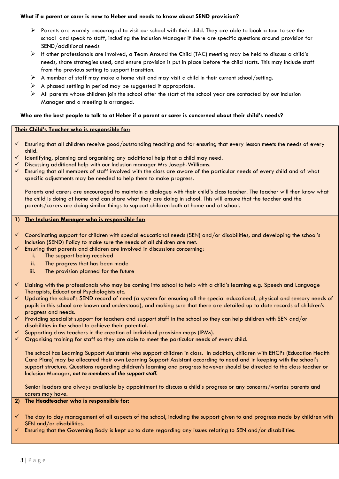#### **What if a parent or carer is new to Heber and needs to know about SEND provision?**

- ➢ Parents are warmly encouraged to visit our school with their child. They are able to book a tour to see the school and speak to staff, including the Inclusion Manager if there are specific questions around provision for SEND/additional needs
- ➢ If other professionals are involved, a **T**eam **A**round the **C**hild (TAC) meeting may be held to discuss a child's needs, share strategies used, and ensure provision is put in place before the child starts. This may include staff from the previous setting to support transition.
- $\triangleright$  A member of staff may make a home visit and may visit a child in their current school/setting.
- $\triangleright$  A phased settling in period may be suggested if appropriate.
- $\triangleright$  All parents whose children join the school after the start of the school year are contacted by our Inclusion Manager and a meeting is arranged.

#### **Who are the best people to talk to at Heber if a parent or carer is concerned about their child's needs?**

#### **Their Child's Teacher who is responsible for:**

- ✓ Ensuring that all children receive good/outstanding teaching and for ensuring that every lesson meets the needs of every child.
- $\checkmark$  Identifying, planning and organising any additional help that a child may need.
- ✓ Discussing additional help with our Inclusion manager Mrs Joseph-Williams.
- ✓ Ensuring that all members of staff involved with the class are aware of the particular needs of every child and of what specific adjustments may be needed to help them to make progress.

Parents and carers are encouraged to maintain a dialogue with their child's class teacher. The teacher will then know what the child is doing at home and can share what they are doing in school. This will ensure that the teacher and the parents/carers are doing similar things to support children both at home and at school.

#### **1) The Inclusion Manager who is responsible for:**

- ✓ Coordinating support for children with special educational needs (SEN) and/or disabilities, and developing the school's Inclusion (SEND) Policy to make sure the needs of all children are met.
- $\checkmark$  Ensuring that parents and children are involved in discussions concerning:
	- i. The support being received
	- ii. The progress that has been made
	- iii. The provision planned for the future
- ✓ Liaising with the professionals who may be coming into school to help with a child's learning e.g. Speech and Language Therapists, Educational Psychologists etc.
- $\checkmark$  Updating the school's SEND record of need (a system for ensuring all the special educational, physical and sensory needs of pupils in this school are known and understood), and making sure that there are detailed up to date records of children's progress and needs.
- ✓ Providing specialist support for teachers and support staff in the school so they can help children with SEN and/or disabilities in the school to achieve their potential.
- Supporting class teachers in the creation of individual provision maps (IPMs).
- $\checkmark$  Organising training for staff so they are able to meet the particular needs of every child.

The school has Learning Support Assistants who support children in class. In addition, children with EHCPs (Education Health Care Plans) may be allocated their own Learning Support Assistant according to need and in keeping with the school's support structure. Questions regarding children's learning and progress however should be directed to the class teacher or Inclusion Manager, *not to members of the support staff.*

Senior leaders are always available by appointment to discuss a child's progress or any concerns/worries parents and carers may have.

#### **2) The Headteacher who is responsible for:**

- The day to day management of all aspects of the school, including the support given to and progress made by children with SEN and/or disabilities.
- $\checkmark$  Ensuring that the Governing Body is kept up to date regarding any issues relating to SEN and/or disabilities.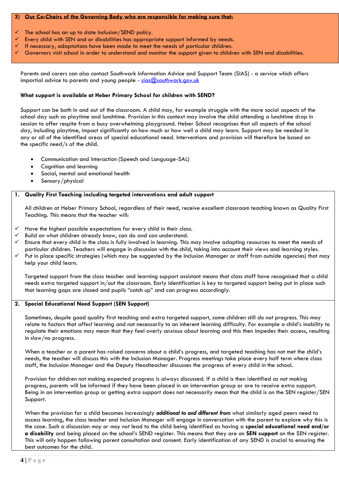#### **3) Our Co-Chairs of the Governing Body who are responsible for making sure that:**

- The school has an up to date Inclusion/SEND policy.
- Every child with SEN and or disabilities has appropriate support informed by needs.
- If necessary, adaptations have been made to meet the needs of particular children.
- ✓ Governors visit school in order to understand and monitor the support given to children with SEN and disabilities.

Parents and carers can also contact Southwark Information Advice and Support Team (SIAS) - a service which offers impartial advice to parents and young people - sias@southwark.gov.uk

#### **What support is available at Heber Primary School for children with SEND?**

Support can be both in and out of the classroom. A child may, for example struggle with the more social aspects of the school day such as playtime and lunchtime. Provision in this context may involve the child attending a lunchtime drop in session to offer respite from a busy overwhelming playground. Heber School recognises that all aspects of the school day, including playtime, impact significantly on how much or how well a child may learn. Support may be needed in any or all of the identified areas of special educational need. Interventions and provision will therefore be based on the specific need/s of the child.

- Communication and Interaction (Speech and Language-SAL)
- Cognition and learning
- Social, mental and emotional health
- Sensory/physical

#### **1. Quality First Teaching including targeted interventions and adult support**

All children at Heber Primary School, regardless of their need, receive excellent classroom teaching known as Quality First Teaching. This means that the teacher will:

- $\checkmark$  Have the highest possible expectations for every child in their class.
- ✓ Build on what children already know, can do and can understand.
- ✓ Ensure that every child in the class is fully involved in learning. This may involve adapting resources to meet the needs of particular children. Teachers will engage in discussion with the child, taking into account their views and learning styles.
- ✓ Put in place specific strategies (which may be suggested by the Inclusion Manager or staff from outside agencies) that may help your child learn.

Targeted support from the class teacher and learning support assistant means that class staff have recognised that a child needs extra targeted support in/out the classroom. Early identification is key to targeted support being put in place such that learning gaps are closed and pupils "catch up" and can progress accordingly.

#### **2. Special Educational Need Support (SEN Support)**

Sometimes, *despite* good quality first teaching and extra targeted support, some children still *do not* progress. This may relate to factors that *affect* learning and not necessarily to an inherent learning difficulty. For example a child's inability to regulate their emotions may mean that they feel overly anxious *about* learning and this then impedes their access, resulting in slow/no progress.

When a teacher or a parent has raised concerns about a child's progress, and targeted teaching has not met the child's needs, the teacher will discuss this with the Inclusion Manager. Progress meetings take place every half term where class staff, the Inclusion Manager and the Deputy Headteacher discusses the progress of every child in the school.

Provision for children not making expected progress is always discussed. If a child is then identified as not making progress, parents will be informed if they have been placed in an intervention group or are to receive extra support. Being in an intervention group or getting extra support does not necessarily mean that the child is on the SEN register/SEN Support.

When the provision for a child becomes increasingly *additional to and different from* what similarly aged peers need to access learning, the class teacher and Inclusion Manager will engage in conversation with the parent to explore why this is the case. Such a discussion *may or may not* lead to the child being identified as having a **special educational need and/or a disability** and being placed on the school's SEND register. This means that they are on **SEN support** on the SEN register. This will only happen following parent consultation and consent. Early identification of any SEND is crucial to ensuring the best outcomes for the child.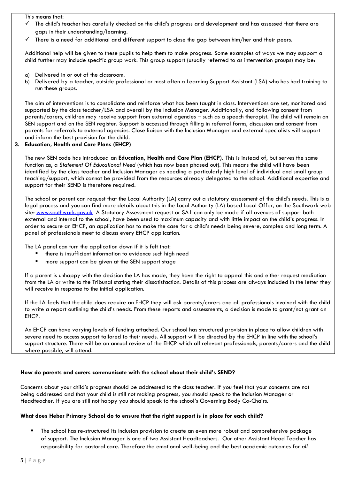This means that:

- The child's teacher has carefully checked on the child's progress and development and has assessed that there are gaps in their understanding/learning.
- There is a need for additional and different support to close the gap between him/her and their peers.

Additional help will be given to these pupils to help them to make progress. Some examples of ways we may support a child further may include specific group work. This group support (usually referred to as intervention groups) may be:

- a) Delivered in or out of the classroom.
- b) Delivered by a teacher, outside professional or most often a Learning Support Assistant (LSA) who has had training to run these groups.

The aim of interventions is to consolidate and reinforce what has been taught in class. Interventions are set, monitored and supported by the class teacher/LSA and overall by the Inclusion Manager. Additionally, and following consent from parents/carers, children may receive support from external agencies – such as a speech therapist. The child will remain on SEN support and on the SEN register. Support is accessed through filling in referral forms, discussion and consent from parents for referrals to external agencies. Close liaison with the Inclusion Manager and external specialists will support and inform the best provision for the child.

#### **3. Education, Health and Care Plans (EHCP)**

The new SEN code has introduced an **Education, Health and Care Plan (EHCP).** This is instead of, but serves the same function as, a *Statement Of Educational Need* (which has now been phased out). This means the child will have been identified by the class teacher and Inclusion Manager as needing a particularly high level of individual and small group teaching/support, which cannot be provided from the resources already delegated to the school. Additional expertise and support for their SEND is therefore required.

The school *or* parent can request that the Local Authority (LA) carry out a statutory assessment of the child's needs. This is a legal process and you can find more details about this in the Local Authority (LA) based Local Offer, on the Southwark web site: [www.southwark.gov.uk](http://www.southwark.gov.uk/) A Statutory Assessment request or SA1 can only be made if all avenues of support both external and internal to the school, have been used to maximum capacity and with little impact on the child's progress. In order to secure an EHCP, an application has to make the case for a child's needs being severe, complex and long term. A panel of professionals meet to discuss every EHCP application.

The LA panel can turn the application down if it is felt that:

- there is insufficient information to evidence such high need
- more support can be given at the SEN support stage

If a parent is unhappy with the decision the LA has made, they have the right to appeal this and either request mediation from the LA or write to the Tribunal stating their dissatisfaction. Details of this process are always included in the letter they will receive in response to the initial application.

If the LA feels that the child does require an EHCP they will ask parents/carers and all professionals involved with the child to write a report outlining the child's needs. From these reports and assessments, a decision is made to grant/not grant an EHCP.

An EHCP can have varying levels of funding attached. Our school has structured provision in place to allow children with severe need to access support tailored to their needs. All support will be directed by the EHCP in line with the school's support structure. There will be an annual review of the EHCP which all relevant professionals, parents/carers and the child where possible, will attend.

#### **How do parents and carers communicate with the school about their child's SEND?**

Concerns about your child's progress should be addressed to the class teacher. If you feel that your concerns are not being addressed and that your child is still not making progress, you should speak to the Inclusion Manager or Headteacher. If you are still not happy you should speak to the school's Governing Body Co-Chairs.

#### **What does Heber Primary School do to ensure that the right support is in place for each child?**

The school has re-structured its Inclusion provision to create an even more robust and comprehensive package of support. The Inclusion Manager is one of two Assistant Headteachers. Our other Assistant Head Teacher has responsibility for pastoral care. Therefore the emotional well-being and the best academic outcomes for *all*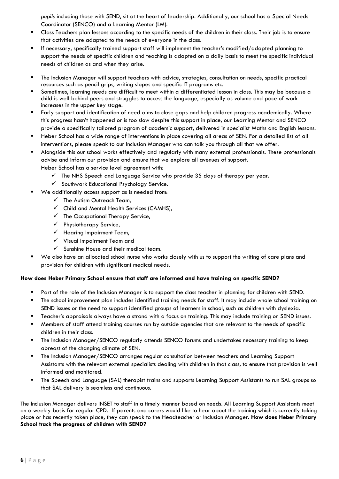*pupils* including those with SEND, sit at the heart of leadership. Additionally, our school has a Special Needs Coordinator (SENCO) and a Learning Mentor (LM).

- Class Teachers plan lessons according to the specific needs of the children in their class. Their job is to ensure that activities are adapted to the needs of everyone in the class.
- If necessary, specifically trained support staff will implement the teacher's modified/adapted planning to support the needs of specific children and teaching is adapted on a daily basis to meet the specific individual needs of children as and when they arise.
- The Inclusion Manager will support teachers with advice, strategies, consultation on needs, specific practical resources such as pencil grips, writing slopes and specific IT programs etc.
- Sometimes, learning needs are difficult to meet within a differentiated lesson in class. This may be because a child is well behind peers and struggles to access the language, especially as volume and pace of work increases in the upper key stage.
- Early support and identification of need aims to close gaps and help children progress academically. Where this progress hasn't happened or is too slow despite this support in place, our Learning Mentor and SENCO provide a specifically tailored program of academic support, delivered in specialist Maths and English lessons.
- Heber School has a wide range of interventions in place covering all areas of SEN. For a detailed list of all interventions, please speak to our Inclusion Manager who can talk you through all that we offer.
- Alongside this our school works effectively and regularly with many external professionals. These professionals advise and inform our provision and ensure that we explore all avenues of support. Heber School has a service level agreement with:
	- $\checkmark$  The NHS Speech and Language Service who provide 35 days of therapy per year.
	- ✓ Southwark Educational Psychology Service.
- We additionally access support as is needed from:
	- $\checkmark$  The Autism Outreach Team,
	- ✓ Child and Mental Health Services (CAMHS),
	- $\checkmark$  The Occupational Therapy Service,
	- ✓ Physiotherapy Service,
	- $\checkmark$  Hearing Impairment Team,
	- ✓ Visual Impairment Team and
	- $\checkmark$  Sunshine House and their medical team.
- We also have an allocated school nurse who works closely with us to support the writing of care plans and provision for children with significant medical needs.

#### **How does Heber Primary School ensure that staff are informed and have training on specific SEND?**

- Part of the role of the Inclusion Manager is to support the class teacher in planning for children with SEND.
- The school improvement plan includes identified training needs for staff. It may include whole school training on SEND issues or the need to support identified groups of learners in school, such as children with dyslexia.
- Teacher's appraisals always have a strand with a focus on training. This may include training on SEND issues.
- Members of staff attend training courses run by outside agencies that are relevant to the needs of specific children in their class.
- The Inclusion Manager/SENCO regularly attends SENCO forums and undertakes necessary training to keep abreast of the changing climate of SEN.
- The Inclusion Manager/SENCO arranges regular consultation between teachers and Learning Support Assistants with the relevant external specialists dealing with children in that class, to ensure that provision is well informed and monitored.
- The Speech and Language (SAL) therapist trains and supports Learning Support Assistants to run SAL groups so that SAL delivery is seamless and continuous.

The Inclusion Manager delivers INSET to staff in a timely manner based on needs. All Learning Support Assistants meet on a weekly basis for regular CPD. If parents and carers would like to hear about the training which is currently taking place or has recently taken place, they can speak to the Headteacher or Inclusion Manager. **How does Heber Primary School track the progress of children with SEND?**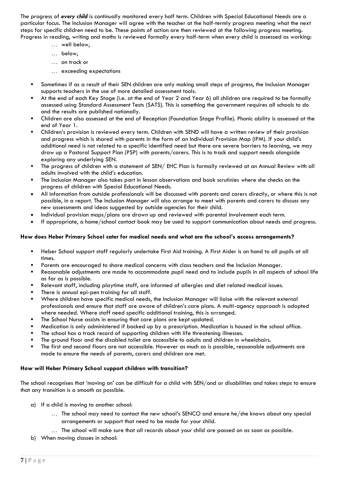The progress of *every child* is continually monitored every half term. Children with Special Educational Needs are a particular focus. The Inclusion Manager will agree with the teacher at the half-termly progress meeting what the next steps for specific children need to be. These points of action are then reviewed at the following progress meeting. Progress in reading, writing and maths is reviewed formally every half-term when every child is assessed as working:

- ... well below,
- ... below,
- ... on track or
- ... exceeding expectations
- Sometimes if as a result of their SEN children are only making small steps of progress, the Inclusion Manager supports teachers in the use of more detailed assessment tools.
- At the end of each Key Stage (i.e. at the end of Year 2 and Year 6) all children are required to be formally assessed using Standard Assessment Tests (SATS). This is something the government requires all schools to do and the results are published nationally.
- Children are also assessed at the end of Reception (Foundation Stage Profile). Phonic ability is assessed at the end of Year 1.
- Children's provision is reviewed every term. Children with SEND will have a written review of their provision and progress which is shared with parents in the form of an Individual Provision Map (IPM). If your child's additional need is not related to a specific identified need but there are severe barriers to learning, we may draw up a Pastoral Support Plan (PSP) with parents/carers. This is to track and support needs alongside exploring any underlying SEN.
- The progress of children with a statement of SEN/ EHC Plan is formally reviewed at an Annual Review with all adults involved with the child's education.
- The Inclusion Manager also takes part in lesson observations and book scrutinies where she checks on the progress of children with Special Educational Needs.
- All information from outside professionals will be discussed with parents and carers directly, or where this is not possible, in a report. The Inclusion Manager will also arrange to meet with parents and carers to discuss any new assessments and ideas suggested by outside agencies for their child.
- Individual provision maps/plans are drawn up and reviewed with parental involvement each term.
- If appropriate, a home/school contact book may be used to support communication about needs and progress.

#### **How does Heber Primary School cater for medical needs and what are the school's access arrangements?**

- Heber School support staff regularly undertake First Aid training. A First Aider is on hand to all pupils at all times.
- Parents are encouraged to share medical concerns with class teachers and the Inclusion Manager.
- Reasonable adjustments are made to accommodate pupil need and to include pupils in all aspects of school life as far as is possible.
- Relevant staff, including playtime staff, are informed of allergies and diet related medical issues.
- There is annual epi-pen training for all staff.
- Where children have specific medical needs, the Inclusion Manager will liaise with the relevant external professionals and ensure that staff are aware of children's care plans. A multi-agency approach is adopted where needed. Where staff need specific additional training, this is arranged.
- The School Nurse assists in ensuring that care plans are kept updated.
- Medication is only administered if backed up by a prescription. Medication is housed in the school office.
- The school has a track record of supporting children with life threatening illnesses.
- The ground floor and the disabled toilet are accessible to adults and children in wheelchairs.
- The first and second floors are not accessible. However as much as is possible, reasonable adjustments are made to ensure the needs of parents, carers and children are met.

#### **How will Heber Primary School support children with transition?**

The school recognises that 'moving on' can be difficult for a child with SEN/and or disabilities and takes steps to ensure that any transition is a smooth as possible.

- a) If a child is moving to another school:
	- ... The school may need to contact the new school's SENCO and ensure he/she knows about any special arrangements or support that need to be made for your child.
	- ... The school will make sure that all records about your child are passed on as soon as possible.
- b) When moving classes in school: